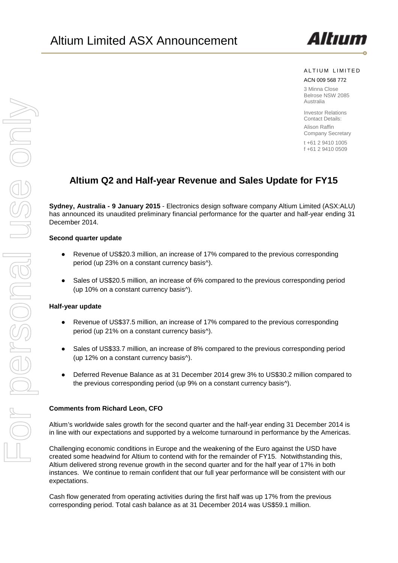

## ALTIUM LIMITED

ACN 009 568 772 3 Minna Close

Belrose NSW 2085 Australia

Investor Relations Contact Details: Alison Raffin Company Secretary

t +61 2 9410 1005 f +61 2 9410 0509

# **Altium Q2 and Half-year Revenue and Sales Update for FY15**

**Sydney, Australia - 9 January 2015** - Electronics design software company Altium Limited (ASX:ALU) has announced its unaudited preliminary financial performance for the quarter and half-year ending 31 December 2014.

## **Second quarter update**

- Revenue of US\$20.3 million, an increase of 17% compared to the previous corresponding period (up 23% on a constant currency basis^).
- Sales of US\$20.5 million, an increase of 6% compared to the previous corresponding period (up 10% on a constant currency basis^).

## **Half-year update**

- Revenue of US\$37.5 million, an increase of 17% compared to the previous corresponding period (up 21% on a constant currency basis^).
- Sales of US\$33.7 million, an increase of 8% compared to the previous corresponding period (up 12% on a constant currency basis^).
- Deferred Revenue Balance as at 31 December 2014 grew 3% to US\$30.2 million compared to the previous corresponding period (up 9% on a constant currency basis^).

## **Comments from Richard Leon, CFO**

Altium's worldwide sales growth for the second quarter and the half-year ending 31 December 2014 is in line with our expectations and supported by a welcome turnaround in performance by the Americas.

Challenging economic conditions in Europe and the weakening of the Euro against the USD have created some headwind for Altium to contend with for the remainder of FY15. Notwithstanding this, Altium delivered strong revenue growth in the second quarter and for the half year of 17% in both instances. We continue to remain confident that our full year performance will be consistent with our expectations.

Cash flow generated from operating activities during the first half was up 17% from the previous corresponding period. Total cash balance as at 31 December 2014 was US\$59.1 million.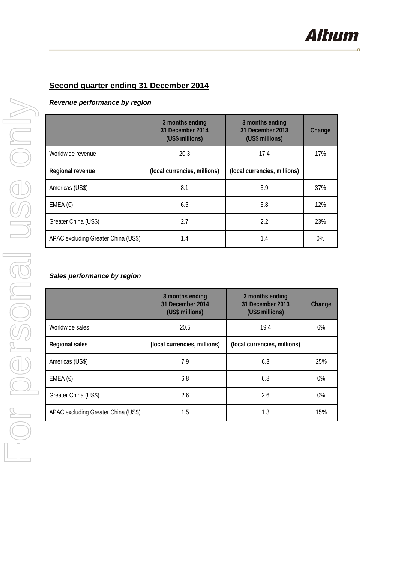-c

## **Second quarter ending 31 December 2014**

## *Revenue performance by region*

|                                     | 3 months ending<br>31 December 2014<br>(US\$ millions) | 3 months ending<br>31 December 2013<br>(US\$ millions) | Change |
|-------------------------------------|--------------------------------------------------------|--------------------------------------------------------|--------|
| Worldwide revenue                   | 20.3                                                   | 17.4                                                   | 17%    |
| Regional revenue                    | (local currencies, millions)                           | (local currencies, millions)                           |        |
| Americas (US\$)                     | 8.1                                                    | 5.9                                                    | 37%    |
| EMEA $(\epsilon)$                   | 6.5                                                    | 5.8                                                    | 12%    |
| Greater China (US\$)                | 2.7                                                    | 2.2                                                    | 23%    |
| APAC excluding Greater China (US\$) | 1.4                                                    | 1.4                                                    | 0%     |

## *Sales performance by region*

|                                     | 3 months ending<br>31 December 2014<br>(US\$ millions) | 3 months ending<br>31 December 2013<br>(US\$ millions) | Change |
|-------------------------------------|--------------------------------------------------------|--------------------------------------------------------|--------|
| Worldwide sales                     | 20.5                                                   | 19.4                                                   | 6%     |
| <b>Regional sales</b>               | (local currencies, millions)                           | (local currencies, millions)                           |        |
| Americas (US\$)                     | 7.9                                                    | 6.3                                                    | 25%    |
| EMEA $(\epsilon)$                   | 6.8                                                    | 6.8                                                    | $0\%$  |
| Greater China (US\$)                | 2.6                                                    | 2.6                                                    | $0\%$  |
| APAC excluding Greater China (US\$) | 1.5                                                    | 1.3                                                    | 15%    |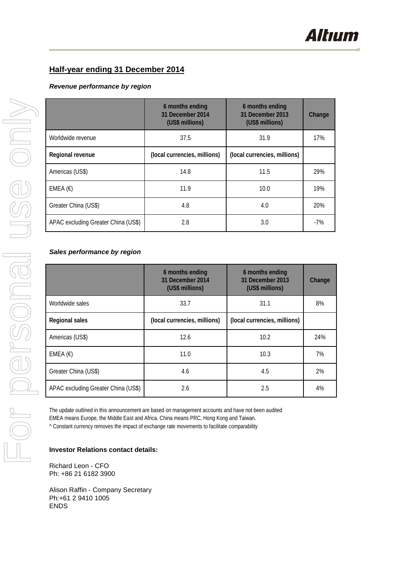## **Half-year ending 31 December 2014**

## *Revenue performance by region*

|                                     | 6 months ending<br>31 December 2014<br>(US\$ millions) | 6 months ending<br>31 December 2013<br>(US\$ millions) | Change |
|-------------------------------------|--------------------------------------------------------|--------------------------------------------------------|--------|
| Worldwide revenue                   | 37.5                                                   | 31.9                                                   | 17%    |
| Regional revenue                    | (local currencies, millions)                           | (local currencies, millions)                           |        |
| Americas (US\$)                     | 14.8                                                   | 11.5                                                   | 29%    |
| EMEA $(\epsilon)$                   | 11.9                                                   | 10.0                                                   | 19%    |
| Greater China (US\$)                | 4.8                                                    | 4.0                                                    | 20%    |
| APAC excluding Greater China (US\$) | 2.8                                                    | 3.0                                                    | $-7%$  |

## *Sales performance by region*

|                                     | 6 months ending<br>31 December 2014<br>(US\$ millions) | 6 months ending<br>31 December 2013<br>(US\$ millions) | Change |
|-------------------------------------|--------------------------------------------------------|--------------------------------------------------------|--------|
| Worldwide sales                     | 33.7                                                   | 31.1                                                   | 8%     |
| <b>Regional sales</b>               | (local currencies, millions)                           | (local currencies, millions)                           |        |
| Americas (US\$)                     | 12.6                                                   | 10.2                                                   | 24%    |
| EMEA $(\epsilon)$                   | 11.0                                                   | 10.3                                                   | 7%     |
| Greater China (US\$)                | 4.6                                                    | 4.5                                                    | 2%     |
| APAC excluding Greater China (US\$) | 2.6                                                    | 2.5                                                    | 4%     |

The update outlined in this announcement are based on management accounts and have not been audited EMEA means Europe, the Middle East and Africa. China means PRC, Hong Kong and Taiwan.

^ Constant currency removes the impact of exchange rate movements to facilitate comparability

## **Investor Relations contact details:**

Richard Leon - CFO Ph: +86 21 6182 3900

Alison Raffin - Company Secretary Ph:+61 2 9410 1005 ENDS